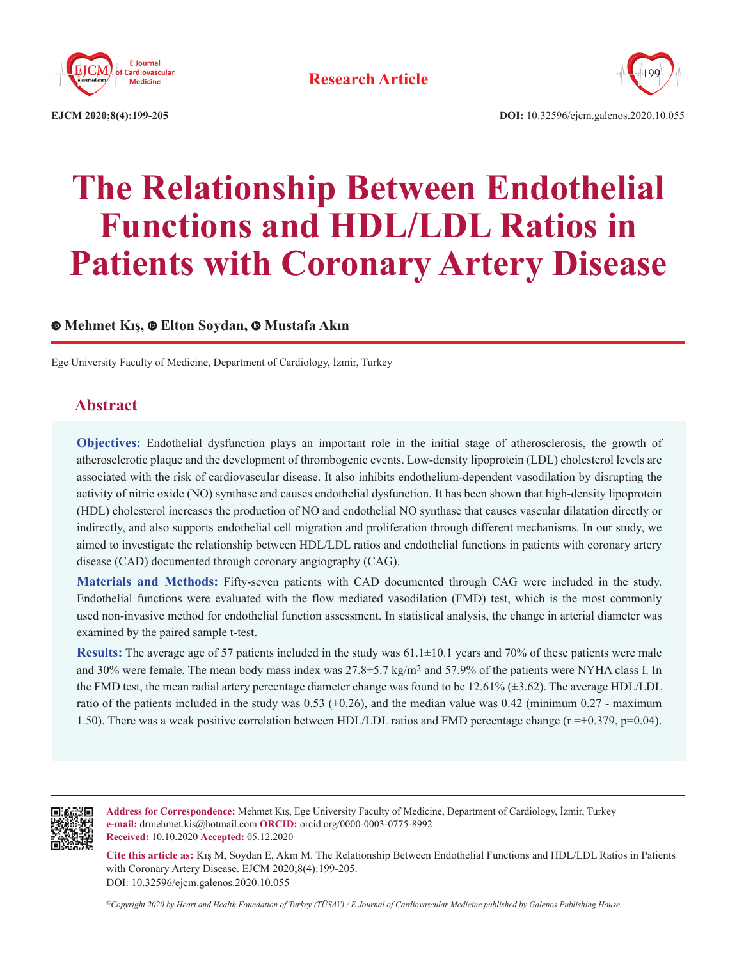



**EJCM 2020;8(4):199-205 DOI:** 10.32596/ejcm.galenos.2020.10.055

# **The Relationship Between Endothelial Functions and HDL/LDL Ratios in Patients with Coronary Artery Disease**

# **Mehmet Kış,Elton Soydan, Mustafa Akın**

Ege University Faculty of Medicine, Department of Cardiology, İzmir, Turkey

# **Abstract**

**Objectives:** Endothelial dysfunction plays an important role in the initial stage of atherosclerosis, the growth of atherosclerotic plaque and the development of thrombogenic events. Low-density lipoprotein (LDL) cholesterol levels are associated with the risk of cardiovascular disease. It also inhibits endothelium-dependent vasodilation by disrupting the activity of nitric oxide (NO) synthase and causes endothelial dysfunction. It has been shown that high-density lipoprotein (HDL) cholesterol increases the production of NO and endothelial NO synthase that causes vascular dilatation directly or indirectly, and also supports endothelial cell migration and proliferation through different mechanisms. In our study, we aimed to investigate the relationship between HDL/LDL ratios and endothelial functions in patients with coronary artery disease (CAD) documented through coronary angiography (CAG).

**Materials and Methods:** Fifty-seven patients with CAD documented through CAG were included in the study. Endothelial functions were evaluated with the flow mediated vasodilation (FMD) test, which is the most commonly used non-invasive method for endothelial function assessment. In statistical analysis, the change in arterial diameter was examined by the paired sample t-test.

**Results:** The average age of 57 patients included in the study was 61.1±10.1 years and 70% of these patients were male and 30% were female. The mean body mass index was 27.8±5.7 kg/m<sup>2</sup> and 57.9% of the patients were NYHA class I. In the FMD test, the mean radial artery percentage diameter change was found to be 12.61% (±3.62). The average HDL/LDL ratio of the patients included in the study was  $0.53$  ( $\pm 0.26$ ), and the median value was  $0.42$  (minimum  $0.27$  - maximum 1.50). There was a weak positive correlation between HDL/LDL ratios and FMD percentage change ( $r = +0.379$ ,  $p=0.04$ ).



**Address for Correspondence:** Mehmet Kış, Ege University Faculty of Medicine, Department of Cardiology, İzmir, Turkey **e-mail:** drmehmet.kis@hotmail.com **ORCID:** orcid.org/0000-0003-0775-8992 **Received:** 10.10.2020 **Accepted:** 05.12.2020

**Cite this article as:** Kış M, Soydan E, Akın M. The Relationship Between Endothelial Functions and HDL/LDL Ratios in Patients with Coronary Artery Disease. EJCM 2020;8(4):199-205. DOI: 10.32596/ejcm.galenos.2020.10.055

*©Copyright 2020 by Heart and Health Foundation of Turkey (TÜSAV) / E Journal of Cardiovascular Medicine published by Galenos Publishing House.*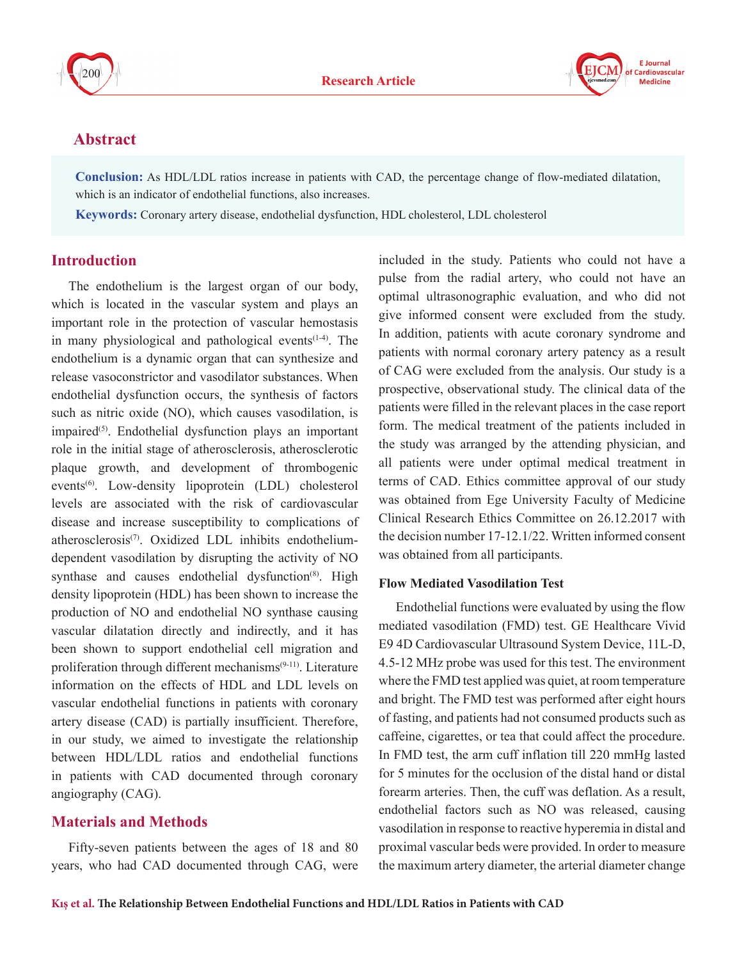



# **Abstract**

**Conclusion:** As HDL/LDL ratios increase in patients with CAD, the percentage change of flow-mediated dilatation, which is an indicator of endothelial functions, also increases.

**Keywords:** Coronary artery disease, endothelial dysfunction, HDL cholesterol, LDL cholesterol

# **Introduction**

The endothelium is the largest organ of our body, which is located in the vascular system and plays an important role in the protection of vascular hemostasis in many physiological and pathological events<sup>(1-4)</sup>. The endothelium is a dynamic organ that can synthesize and release vasoconstrictor and vasodilator substances. When endothelial dysfunction occurs, the synthesis of factors such as nitric oxide (NO), which causes vasodilation, is  $impaired^{(5)}$ . Endothelial dysfunction plays an important role in the initial stage of atherosclerosis, atherosclerotic plaque growth, and development of thrombogenic events<sup>(6)</sup>. Low-density lipoprotein (LDL) cholesterol levels are associated with the risk of cardiovascular disease and increase susceptibility to complications of atherosclerosis(7). Oxidized LDL inhibits endotheliumdependent vasodilation by disrupting the activity of NO synthase and causes endothelial dysfunction<sup>(8)</sup>. High density lipoprotein (HDL) has been shown to increase the production of NO and endothelial NO synthase causing vascular dilatation directly and indirectly, and it has been shown to support endothelial cell migration and proliferation through different mechanisms<sup>(9-11)</sup>. Literature information on the effects of HDL and LDL levels on vascular endothelial functions in patients with coronary artery disease (CAD) is partially insufficient. Therefore, in our study, we aimed to investigate the relationship between HDL/LDL ratios and endothelial functions in patients with CAD documented through coronary angiography (CAG).

# **Materials and Methods**

Fifty-seven patients between the ages of 18 and 80 years, who had CAD documented through CAG, were included in the study. Patients who could not have a pulse from the radial artery, who could not have an optimal ultrasonographic evaluation, and who did not give informed consent were excluded from the study. In addition, patients with acute coronary syndrome and patients with normal coronary artery patency as a result of CAG were excluded from the analysis. Our study is a prospective, observational study. The clinical data of the patients were filled in the relevant places in the case report form. The medical treatment of the patients included in the study was arranged by the attending physician, and all patients were under optimal medical treatment in terms of CAD. Ethics committee approval of our study was obtained from Ege University Faculty of Medicine Clinical Research Ethics Committee on 26.12.2017 with the decision number 17-12.1/22. Written informed consent was obtained from all participants.

#### **Flow Mediated Vasodilation Test**

Endothelial functions were evaluated by using the flow mediated vasodilation (FMD) test. GE Healthcare Vivid E9 4D Cardiovascular Ultrasound System Device, 11L-D, 4.5-12 MHz probe was used for this test. The environment where the FMD test applied was quiet, at room temperature and bright. The FMD test was performed after eight hours of fasting, and patients had not consumed products such as caffeine, cigarettes, or tea that could affect the procedure. In FMD test, the arm cuff inflation till 220 mmHg lasted for 5 minutes for the occlusion of the distal hand or distal forearm arteries. Then, the cuff was deflation. As a result, endothelial factors such as NO was released, causing vasodilation in response to reactive hyperemia in distal and proximal vascular beds were provided. In order to measure the maximum artery diameter, the arterial diameter change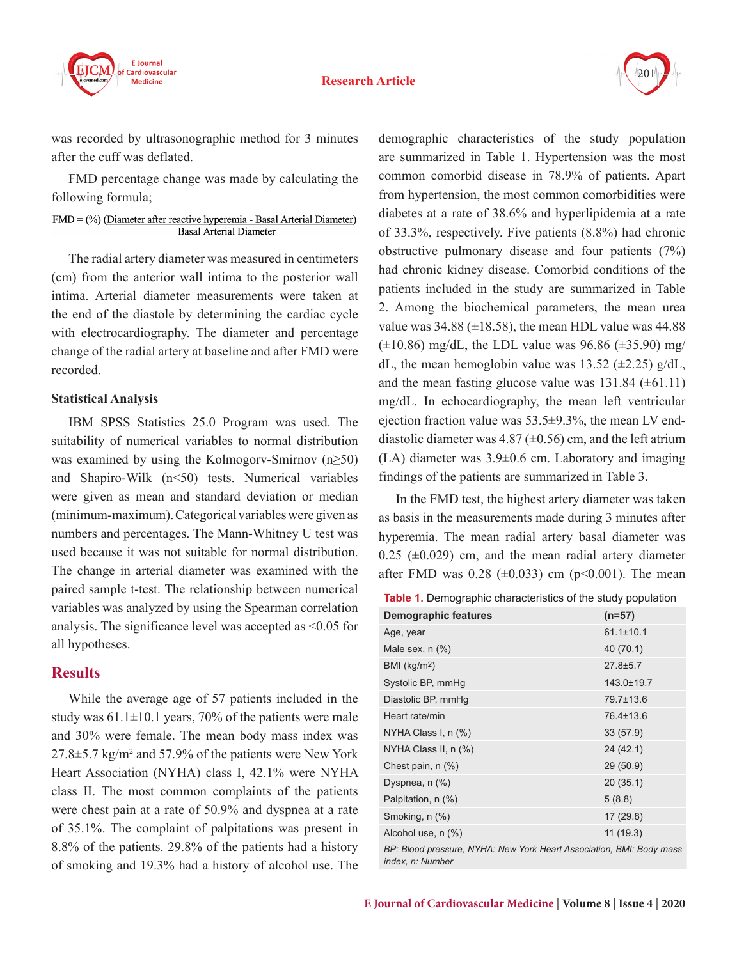



was recorded by ultrasonographic method for 3 minutes after the cuff was deflated.

FMD percentage change was made by calculating the following formula;

#### FMD = (%) (Diameter after reactive hyperemia - Basal Arterial Diameter) Basal Arterial Diameter

The radial artery diameter was measured in centimeters (cm) from the anterior wall intima to the posterior wall intima. Arterial diameter measurements were taken at the end of the diastole by determining the cardiac cycle with electrocardiography. The diameter and percentage change of the radial artery at baseline and after FMD were recorded.

#### **Statistical Analysis**

IBM SPSS Statistics 25.0 Program was used. The suitability of numerical variables to normal distribution was examined by using the Kolmogorv-Smirnov (n≥50) and Shapiro-Wilk (n<50) tests. Numerical variables were given as mean and standard deviation or median (minimum-maximum). Categorical variables were given as numbers and percentages. The Mann-Whitney U test was used because it was not suitable for normal distribution. The change in arterial diameter was examined with the paired sample t-test. The relationship between numerical variables was analyzed by using the Spearman correlation analysis. The significance level was accepted as <0.05 for all hypotheses.

# **Results**

While the average age of 57 patients included in the study was  $61.1 \pm 10.1$  years, 70% of the patients were male and 30% were female. The mean body mass index was  $27.8 \pm 5.7$  kg/m<sup>2</sup> and 57.9% of the patients were New York Heart Association (NYHA) class I, 42.1% were NYHA class II. The most common complaints of the patients were chest pain at a rate of 50.9% and dyspnea at a rate of 35.1%. The complaint of palpitations was present in 8.8% of the patients. 29.8% of the patients had a history of smoking and 19.3% had a history of alcohol use. The

demographic characteristics of the study population are summarized in Table 1. Hypertension was the most common comorbid disease in 78.9% of patients. Apart from hypertension, the most common comorbidities were diabetes at a rate of 38.6% and hyperlipidemia at a rate of 33.3%, respectively. Five patients (8.8%) had chronic obstructive pulmonary disease and four patients (7%) had chronic kidney disease. Comorbid conditions of the patients included in the study are summarized in Table 2. Among the biochemical parameters, the mean urea value was  $34.88 \ (\pm 18.58)$ , the mean HDL value was  $44.88$  $(\pm 10.86)$  mg/dL, the LDL value was 96.86  $(\pm 35.90)$  mg/ dL, the mean hemoglobin value was 13.52 ( $\pm$ 2.25) g/dL, and the mean fasting glucose value was  $131.84 \ (\pm 61.11)$ mg/dL. In echocardiography, the mean left ventricular ejection fraction value was 53.5±9.3%, the mean LV enddiastolic diameter was 4.87 ( $\pm$ 0.56) cm, and the left atrium (LA) diameter was 3.9±0.6 cm. Laboratory and imaging findings of the patients are summarized in Table 3.

In the FMD test, the highest artery diameter was taken as basis in the measurements made during 3 minutes after hyperemia. The mean radial artery basal diameter was  $0.25$  ( $\pm 0.029$ ) cm, and the mean radial artery diameter after FMD was 0.28 ( $\pm$ 0.033) cm (p<0.001). The mean

| <b>Demographic features</b> | $(n=57)$        |
|-----------------------------|-----------------|
| Age, year                   | $61.1 \pm 10.1$ |
| Male sex, $n$ $(\%)$        | 40 (70.1)       |
| BMI ( $kg/m2$ )             | $27.8 + 5.7$    |
| Systolic BP, mmHg           | 143.0±19.7      |
| Diastolic BP, mmHg          | 79.7±13.6       |
| Heart rate/min              | 76.4±13.6       |
| NYHA Class I, n (%)         | 33 (57.9)       |
| NYHA Class II, n (%)        | 24 (42.1)       |
| Chest pain, $n$ $(\%)$      | 29 (50.9)       |
| Dyspnea, $n$ $(\%)$         | 20(35.1)        |
| Palpitation, n (%)          | 5(8.8)          |
| Smoking, n (%)              | 17(29.8)        |
| Alcohol use, n (%)          | 11(19.3)        |

*BP: Blood pressure, NYHA: New York Heart Association, BMI: Body mass index, n: Number*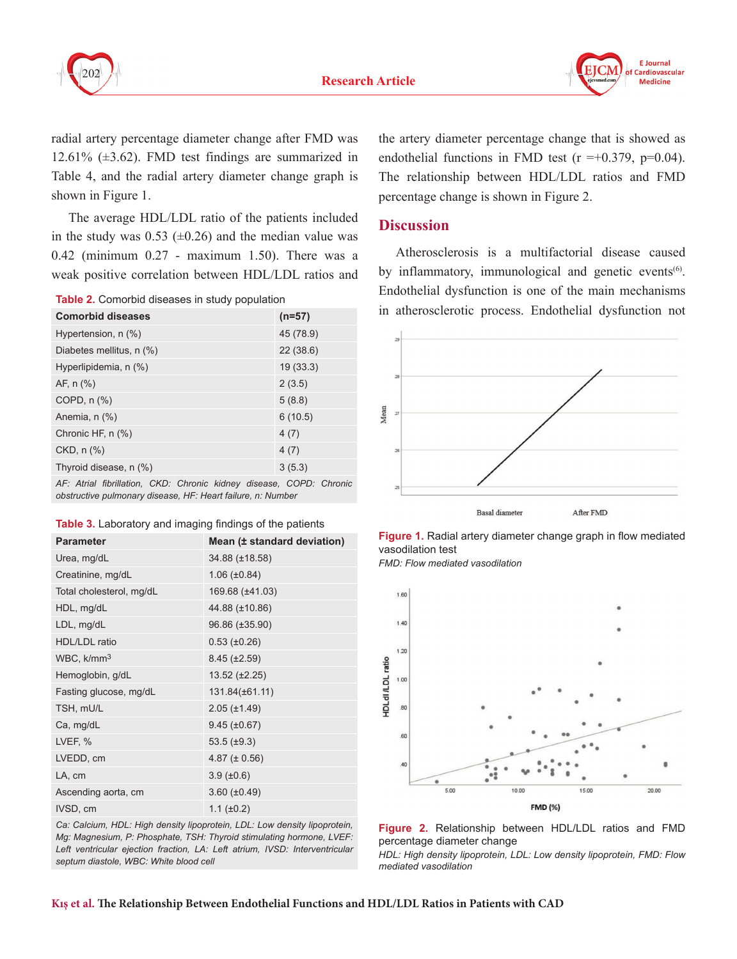



radial artery percentage diameter change after FMD was 12.61% (±3.62). FMD test findings are summarized in Table 4, and the radial artery diameter change graph is shown in Figure 1.

The average HDL/LDL ratio of the patients included in the study was  $0.53$  ( $\pm 0.26$ ) and the median value was 0.42 (minimum 0.27 - maximum 1.50). There was a weak positive correlation between HDL/LDL ratios and

**Table 2.** Comorbid diseases in study population

| <b>Comorbid diseases</b>                                            | $(n=57)$  |
|---------------------------------------------------------------------|-----------|
| Hypertension, n (%)                                                 | 45 (78.9) |
| Diabetes mellitus, n (%)                                            | 22(38.6)  |
| Hyperlipidemia, n (%)                                               | 19(33.3)  |
| AF, $n$ $%$                                                         | 2(3.5)    |
| COPD, $n$ $%$                                                       | 5(8.8)    |
| Anemia, n (%)                                                       | 6(10.5)   |
| Chronic HF, n (%)                                                   | 4(7)      |
| $CKD, n$ $(\%)$                                                     | 4(7)      |
| Thyroid disease, n (%)                                              | 3(5.3)    |
| AF: Atrial fibrillation, CKD: Chronic kidney disease, COPD: Chronic |           |

*obstructive pulmonary disease, HF: Heart failure, n: Number*

|  | Table 3. Laboratory and imaging findings of the patients |  |  |  |  |  |
|--|----------------------------------------------------------|--|--|--|--|--|
|--|----------------------------------------------------------|--|--|--|--|--|

| <b>Parameter</b>         | Mean (± standard deviation) |
|--------------------------|-----------------------------|
| Urea, mg/dL              | 34.88 (±18.58)              |
| Creatinine, mg/dL        | $1.06 (\pm 0.84)$           |
| Total cholesterol, mg/dL | 169.68 (±41.03)             |
| HDL, mg/dL               | 44.88 (±10.86)              |
| LDL, mg/dL               | 96.86 (±35.90)              |
| <b>HDL/LDL</b> ratio     | $0.53$ ( $\pm 0.26$ )       |
| WBC, k/mm <sup>3</sup>   | $8.45 (\pm 2.59)$           |
| Hemoglobin, g/dL         | $13.52 \ (\pm 2.25)$        |
| Fasting glucose, mg/dL   | 131.84(±61.11)              |
| TSH, mU/L                | $2.05 (\pm 1.49)$           |
| Ca, mg/dL                | $9.45 (\pm 0.67)$           |
| LVEF, %                  | 53.5 $(\pm 9.3)$            |
| LVEDD, cm                | 4.87 ( $\pm$ 0.56)          |
| LA, cm                   | $3.9 \ (\pm 0.6)$           |
| Ascending aorta, cm      | $3.60 (\pm 0.49)$           |
| IVSD, cm                 | $1.1 (\pm 0.2)$             |

*Ca: Calcium, HDL: High density lipoprotein, LDL: Low density lipoprotein, Mg: Magnesium, P: Phosphate, TSH: Thyroid stimulating hormone, LVEF:*  Left ventricular ejection fraction, LA: Left atrium, IVSD: Interventricular *septum diastole, WBC: White blood cell*

the artery diameter percentage change that is showed as endothelial functions in FMD test ( $r = +0.379$ ,  $p=0.04$ ). The relationship between HDL/LDL ratios and FMD percentage change is shown in Figure 2.

# **Discussion**

Atherosclerosis is a multifactorial disease caused by inflammatory, immunological and genetic events<sup>(6)</sup>. Endothelial dysfunction is one of the main mechanisms in atherosclerotic process. Endothelial dysfunction not



**Figure 1.** Radial artery diameter change graph in flow mediated vasodilation test

*FMD: Flow mediated vasodilation*





*HDL: High density lipoprotein, LDL: Low density lipoprotein, FMD: Flow mediated vasodilation*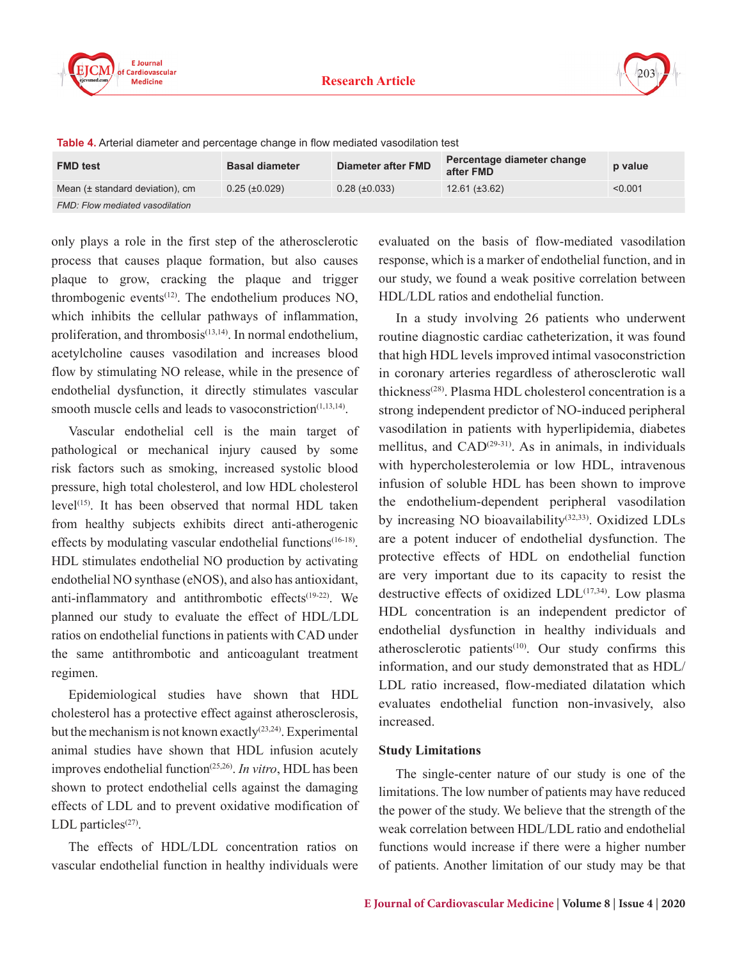

| <b>FMD test</b>                 | <b>Basal diameter</b> | Diameter after FMD   | Percentage diameter change<br>after FMD | p value |
|---------------------------------|-----------------------|----------------------|-----------------------------------------|---------|
| Mean (± standard deviation), cm | $0.25 \ (\pm 0.029)$  | $0.28 \ (\pm 0.033)$ | $12.61 (\pm 3.62)$                      | < 0.001 |
| FMD: Flow mediated vasodilation |                       |                      |                                         |         |

**Table 4.** Arterial diameter and percentage change in flow mediated vasodilation test

only plays a role in the first step of the atherosclerotic process that causes plaque formation, but also causes plaque to grow, cracking the plaque and trigger thrombogenic events<sup> $(12)$ </sup>. The endothelium produces NO, which inhibits the cellular pathways of inflammation, proliferation, and thrombosis $(13,14)$ . In normal endothelium, acetylcholine causes vasodilation and increases blood flow by stimulating NO release, while in the presence of endothelial dysfunction, it directly stimulates vascular smooth muscle cells and leads to vasoconstriction $(1,13,14)$ .

Vascular endothelial cell is the main target of pathological or mechanical injury caused by some risk factors such as smoking, increased systolic blood pressure, high total cholesterol, and low HDL cholesterol  $level<sup>(15)</sup>$ . It has been observed that normal HDL taken from healthy subjects exhibits direct anti-atherogenic effects by modulating vascular endothelial functions<sup>(16-18)</sup>. HDL stimulates endothelial NO production by activating endothelial NO synthase (eNOS), and also has antioxidant, anti-inflammatory and antithrombotic effects<sup>(19-22)</sup>. We planned our study to evaluate the effect of HDL/LDL ratios on endothelial functions in patients with CAD under the same antithrombotic and anticoagulant treatment regimen.

Epidemiological studies have shown that HDL cholesterol has a protective effect against atherosclerosis, but the mechanism is not known exactly<sup>(23,24)</sup>. Experimental animal studies have shown that HDL infusion acutely improves endothelial function(25,26). *In vitro*, HDL has been shown to protect endothelial cells against the damaging effects of LDL and to prevent oxidative modification of LDL particles $(27)$ .

The effects of HDL/LDL concentration ratios on vascular endothelial function in healthy individuals were evaluated on the basis of flow-mediated vasodilation response, which is a marker of endothelial function, and in our study, we found a weak positive correlation between HDL/LDL ratios and endothelial function.

In a study involving 26 patients who underwent routine diagnostic cardiac catheterization, it was found that high HDL levels improved intimal vasoconstriction in coronary arteries regardless of atherosclerotic wall thickness(28). Plasma HDL cholesterol concentration is a strong independent predictor of NO-induced peripheral vasodilation in patients with hyperlipidemia, diabetes mellitus, and  $CAD<sup>(29-31)</sup>$ . As in animals, in individuals with hypercholesterolemia or low HDL, intravenous infusion of soluble HDL has been shown to improve the endothelium-dependent peripheral vasodilation by increasing NO bioavailability(32,33). Oxidized LDLs are a potent inducer of endothelial dysfunction. The protective effects of HDL on endothelial function are very important due to its capacity to resist the destructive effects of oxidized LDL<sup>(17,34)</sup>. Low plasma HDL concentration is an independent predictor of endothelial dysfunction in healthy individuals and atherosclerotic patients $(10)$ . Our study confirms this information, and our study demonstrated that as HDL/ LDL ratio increased, flow-mediated dilatation which evaluates endothelial function non-invasively, also increased.

# **Study Limitations**

The single-center nature of our study is one of the limitations. The low number of patients may have reduced the power of the study. We believe that the strength of the weak correlation between HDL/LDL ratio and endothelial functions would increase if there were a higher number of patients. Another limitation of our study may be that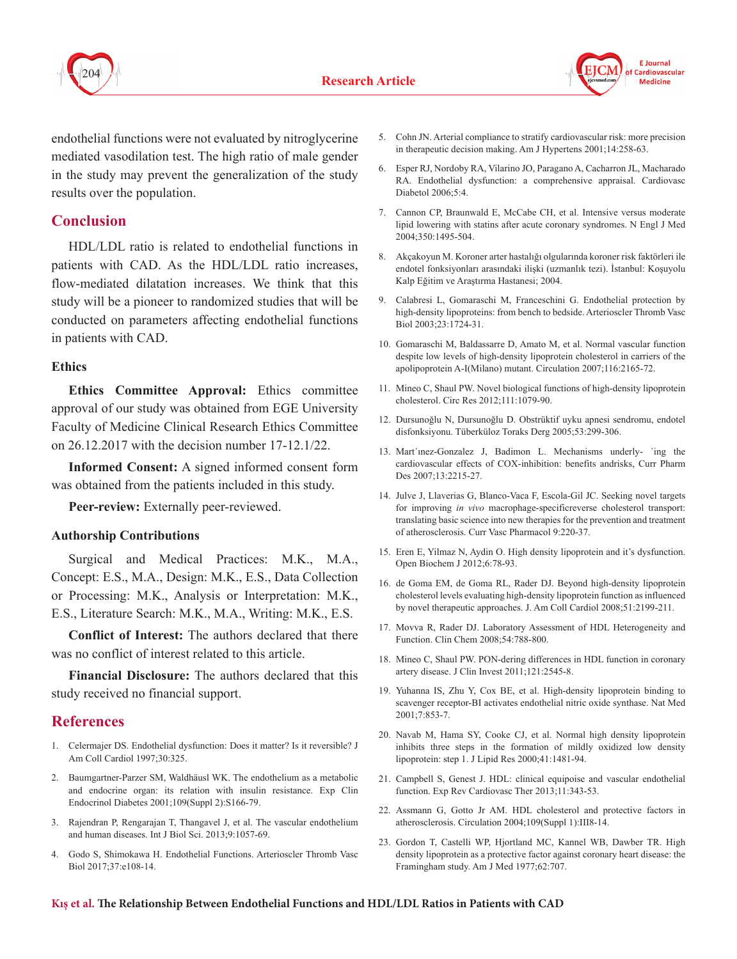



endothelial functions were not evaluated by nitroglycerine mediated vasodilation test. The high ratio of male gender in the study may prevent the generalization of the study results over the population.

# **Conclusion**

HDL/LDL ratio is related to endothelial functions in patients with CAD. As the HDL/LDL ratio increases, flow-mediated dilatation increases. We think that this study will be a pioneer to randomized studies that will be conducted on parameters affecting endothelial functions in patients with CAD.

#### **Ethics**

**Ethics Committee Approval:** Ethics committee approval of our study was obtained from EGE University Faculty of Medicine Clinical Research Ethics Committee on 26.12.2017 with the decision number 17-12.1/22.

**Informed Consent:** A signed informed consent form was obtained from the patients included in this study.

**Peer-review:** Externally peer-reviewed.

# **Authorship Contributions**

Surgical and Medical Practices: M.K., M.A., Concept: E.S., M.A., Design: M.K., E.S., Data Collection or Processing: M.K., Analysis or Interpretation: M.K., E.S., Literature Search: M.K., M.A., Writing: M.K., E.S.

**Conflict of Interest:** The authors declared that there was no conflict of interest related to this article.

**Financial Disclosure:** The authors declared that this study received no financial support.

# **References**

- 1. Celermajer DS. Endothelial dysfunction: Does it matter? Is it reversible? J Am Coll Cardiol 1997;30:325.
- 2. Baumgartner-Parzer SM, Waldhäusl WK. The endothelium as a metabolic and endocrine organ: its relation with insulin resistance. Exp Clin Endocrinol Diabetes 2001;109(Suppl 2):S166-79.
- 3. Rajendran P, Rengarajan T, Thangavel J, et al. The vascular endothelium and human diseases. Int J Biol Sci. 2013;9:1057-69.
- 4. Godo S, Shimokawa H. Endothelial Functions. Arterioscler Thromb Vasc Biol 2017;37:e108-14.
- 5. Cohn JN. Arterial compliance to stratify cardiovascular risk: more precision in therapeutic decision making. Am J Hypertens 2001;14:258-63.
- 6. Esper RJ, Nordoby RA, Vilarino JO, Paragano A, Cacharron JL, Macharado RA. Endothelial dysfunction: a comprehensive appraisal. Cardiovasc Diabetol 2006;5:4.
- 7. Cannon CP, Braunwald E, McCabe CH, et al. Intensive versus moderate lipid lowering with statins after acute coronary syndromes. N Engl J Med 2004;350:1495-504.
- 8. Akçakoyun M. Koroner arter hastalığı olgularında koroner risk faktörleri ile endotel fonksiyonları arasındaki ilişki (uzmanlık tezi). İstanbul: Koşuyolu Kalp Eğitim ve Araştırma Hastanesi; 2004.
- 9. Calabresi L, Gomaraschi M, Franceschini G. Endothelial protection by high-density lipoproteins: from bench to bedside. Arterioscler Thromb Vasc Biol 2003;23:1724-31.
- 10. Gomaraschi M, Baldassarre D, Amato M, et al. Normal vascular function despite low levels of high-density lipoprotein cholesterol in carriers of the apolipoprotein A-I(Milano) mutant. Circulation 2007;116:2165-72.
- 11. Mineo C, Shaul PW. Novel biological functions of high-density lipoprotein cholesterol. Circ Res 2012;111:1079-90.
- 12. Dursunoğlu N, Dursunoğlu D. Obstrüktif uyku apnesi sendromu, endotel disfonksiyonu. Tüberküloz Toraks Derg 2005;53:299-306.
- 13. Mart´ınez-Gonzalez J, Badimon L. Mechanisms underly- ´ing the cardiovascular effects of COX-inhibition: benefits andrisks, Curr Pharm Des 2007;13:2215-27.
- 14. Julve J, Llaverias G, Blanco-Vaca F, Escola-Gil JC. Seeking novel targets for improving *in vivo* macrophage-specificreverse cholesterol transport: translating basic science into new therapies for the prevention and treatment of atherosclerosis. Curr Vasc Pharmacol 9:220-37.
- 15. Eren E, Yilmaz N, Aydin O. High density lipoprotein and it's dysfunction. Open Biochem J 2012;6:78-93.
- 16. de Goma EM, de Goma RL, Rader DJ. Beyond high-density lipoprotein cholesterol levels evaluating high-density lipoprotein function as influenced by novel therapeutic approaches. J. Am Coll Cardiol 2008;51:2199-211.
- 17. Movva R, Rader DJ. Laboratory Assessment of HDL Heterogeneity and Function. Clin Chem 2008;54:788-800.
- 18. Mineo C, Shaul PW. PON-dering differences in HDL function in coronary artery disease. J Clin Invest 2011;121:2545-8.
- 19. Yuhanna IS, Zhu Y, Cox BE, et al. High-density lipoprotein binding to scavenger receptor-BI activates endothelial nitric oxide synthase. Nat Med 2001;7:853-7.
- 20. Navab M, Hama SY, Cooke CJ, et al. Normal high density lipoprotein inhibits three steps in the formation of mildly oxidized low density lipoprotein: step 1. J Lipid Res 2000;41:1481-94.
- 21. Campbell S, Genest J. HDL: clinical equipoise and vascular endothelial function. Exp Rev Cardiovasc Ther 2013;11:343-53.
- 22. Assmann G, Gotto Jr AM. HDL cholesterol and protective factors in atherosclerosis. Circulation 2004;109(Suppl 1):III8-14.
- 23. Gordon T, Castelli WP, Hjortland MC, Kannel WB, Dawber TR. High density lipoprotein as a protective factor against coronary heart disease: the Framingham study. Am J Med 1977;62:707.